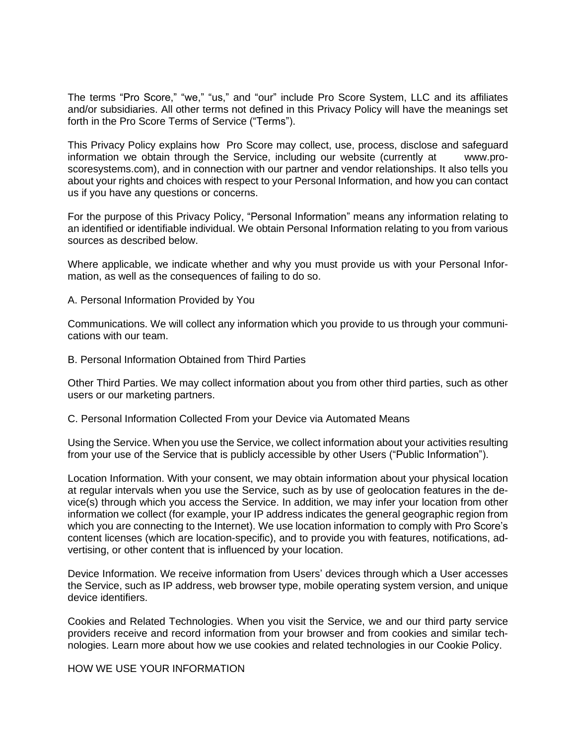The terms "Pro Score," "we," "us," and "our" include Pro Score System, LLC and its affiliates and/or subsidiaries. All other terms not defined in this Privacy Policy will have the meanings set forth in the Pro Score Terms of Service ("Terms").

This Privacy Policy explains how Pro Score may collect, use, process, disclose and safeguard information we obtain through the Service, including our website (currently at www.proscoresystems.com), and in connection with our partner and vendor relationships. It also tells you about your rights and choices with respect to your Personal Information, and how you can contact us if you have any questions or concerns.

For the purpose of this Privacy Policy, "Personal Information" means any information relating to an identified or identifiable individual. We obtain Personal Information relating to you from various sources as described below.

Where applicable, we indicate whether and why you must provide us with your Personal Information, as well as the consequences of failing to do so.

A. Personal Information Provided by You

Communications. We will collect any information which you provide to us through your communications with our team.

B. Personal Information Obtained from Third Parties

Other Third Parties. We may collect information about you from other third parties, such as other users or our marketing partners.

C. Personal Information Collected From your Device via Automated Means

Using the Service. When you use the Service, we collect information about your activities resulting from your use of the Service that is publicly accessible by other Users ("Public Information").

Location Information. With your consent, we may obtain information about your physical location at regular intervals when you use the Service, such as by use of geolocation features in the device(s) through which you access the Service. In addition, we may infer your location from other information we collect (for example, your IP address indicates the general geographic region from which you are connecting to the Internet). We use location information to comply with Pro Score's content licenses (which are location-specific), and to provide you with features, notifications, advertising, or other content that is influenced by your location.

Device Information. We receive information from Users' devices through which a User accesses the Service, such as IP address, web browser type, mobile operating system version, and unique device identifiers.

Cookies and Related Technologies. When you visit the Service, we and our third party service providers receive and record information from your browser and from cookies and similar technologies. Learn more about how we use cookies and related technologies in our Cookie Policy.

HOW WE USE YOUR INFORMATION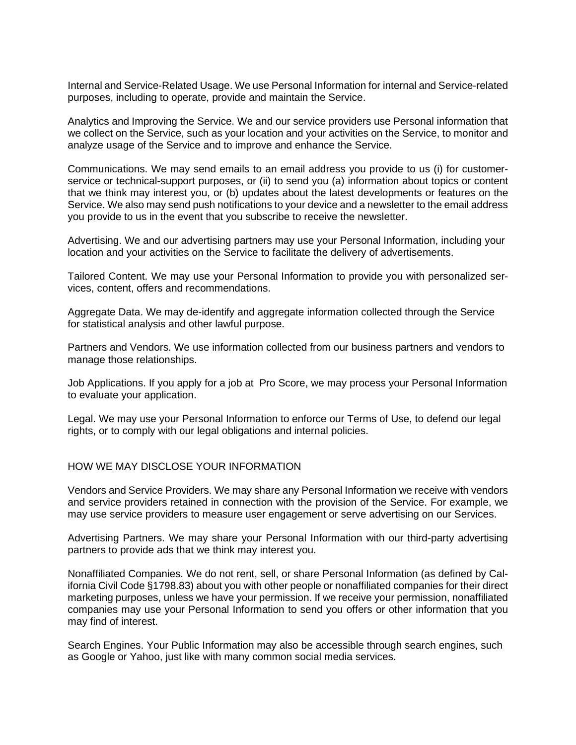Internal and Service-Related Usage. We use Personal Information for internal and Service-related purposes, including to operate, provide and maintain the Service.

Analytics and Improving the Service. We and our service providers use Personal information that we collect on the Service, such as your location and your activities on the Service, to monitor and analyze usage of the Service and to improve and enhance the Service.

Communications. We may send emails to an email address you provide to us (i) for customerservice or technical-support purposes, or (ii) to send you (a) information about topics or content that we think may interest you, or (b) updates about the latest developments or features on the Service. We also may send push notifications to your device and a newsletter to the email address you provide to us in the event that you subscribe to receive the newsletter.

Advertising. We and our advertising partners may use your Personal Information, including your location and your activities on the Service to facilitate the delivery of advertisements.

Tailored Content. We may use your Personal Information to provide you with personalized services, content, offers and recommendations.

Aggregate Data. We may de-identify and aggregate information collected through the Service for statistical analysis and other lawful purpose.

Partners and Vendors. We use information collected from our business partners and vendors to manage those relationships.

Job Applications. If you apply for a job at Pro Score, we may process your Personal Information to evaluate your application.

Legal. We may use your Personal Information to enforce our Terms of Use, to defend our legal rights, or to comply with our legal obligations and internal policies.

HOW WE MAY DISCLOSE YOUR INFORMATION

Vendors and Service Providers. We may share any Personal Information we receive with vendors and service providers retained in connection with the provision of the Service. For example, we may use service providers to measure user engagement or serve advertising on our Services.

Advertising Partners. We may share your Personal Information with our third-party advertising partners to provide ads that we think may interest you.

Nonaffiliated Companies. We do not rent, sell, or share Personal Information (as defined by California Civil Code §1798.83) about you with other people or nonaffiliated companies for their direct marketing purposes, unless we have your permission. If we receive your permission, nonaffiliated companies may use your Personal Information to send you offers or other information that you may find of interest.

Search Engines. Your Public Information may also be accessible through search engines, such as Google or Yahoo, just like with many common social media services.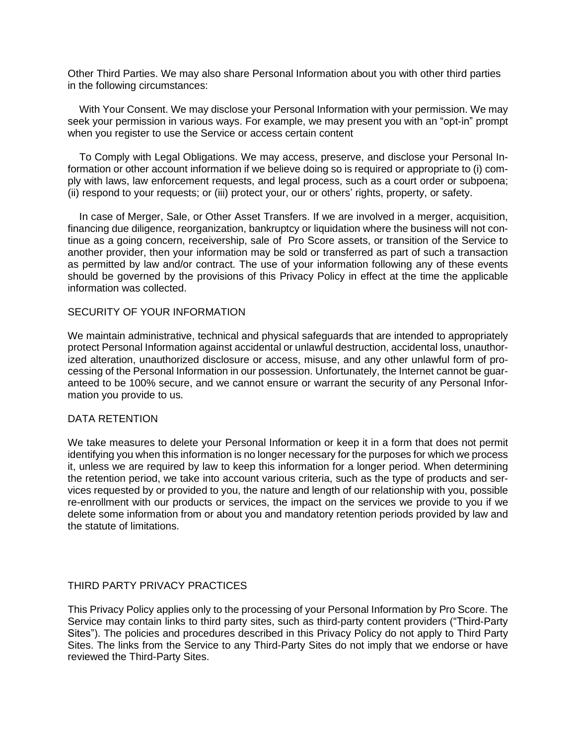Other Third Parties. We may also share Personal Information about you with other third parties in the following circumstances:

 With Your Consent. We may disclose your Personal Information with your permission. We may seek your permission in various ways. For example, we may present you with an "opt-in" prompt when you register to use the Service or access certain content

 To Comply with Legal Obligations. We may access, preserve, and disclose your Personal Information or other account information if we believe doing so is required or appropriate to (i) comply with laws, law enforcement requests, and legal process, such as a court order or subpoena; (ii) respond to your requests; or (iii) protect your, our or others' rights, property, or safety.

 In case of Merger, Sale, or Other Asset Transfers. If we are involved in a merger, acquisition, financing due diligence, reorganization, bankruptcy or liquidation where the business will not continue as a going concern, receivership, sale of Pro Score assets, or transition of the Service to another provider, then your information may be sold or transferred as part of such a transaction as permitted by law and/or contract. The use of your information following any of these events should be governed by the provisions of this Privacy Policy in effect at the time the applicable information was collected.

# SECURITY OF YOUR INFORMATION

We maintain administrative, technical and physical safeguards that are intended to appropriately protect Personal Information against accidental or unlawful destruction, accidental loss, unauthorized alteration, unauthorized disclosure or access, misuse, and any other unlawful form of processing of the Personal Information in our possession. Unfortunately, the Internet cannot be guaranteed to be 100% secure, and we cannot ensure or warrant the security of any Personal Information you provide to us.

# DATA RETENTION

We take measures to delete your Personal Information or keep it in a form that does not permit identifying you when this information is no longer necessary for the purposes for which we process it, unless we are required by law to keep this information for a longer period. When determining the retention period, we take into account various criteria, such as the type of products and services requested by or provided to you, the nature and length of our relationship with you, possible re-enrollment with our products or services, the impact on the services we provide to you if we delete some information from or about you and mandatory retention periods provided by law and the statute of limitations.

#### THIRD PARTY PRIVACY PRACTICES

This Privacy Policy applies only to the processing of your Personal Information by Pro Score. The Service may contain links to third party sites, such as third-party content providers ("Third-Party Sites"). The policies and procedures described in this Privacy Policy do not apply to Third Party Sites. The links from the Service to any Third-Party Sites do not imply that we endorse or have reviewed the Third-Party Sites.